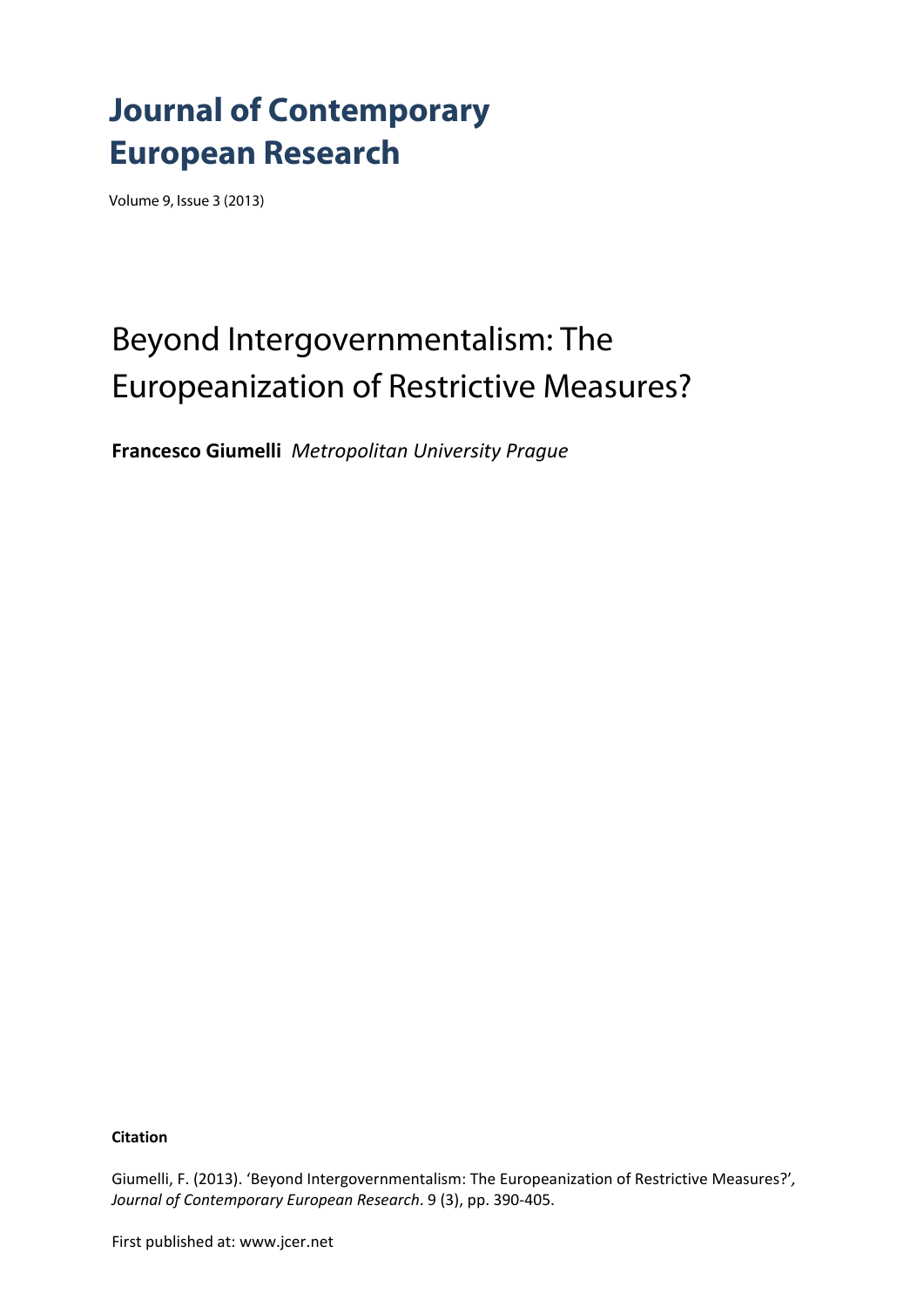## **Journal of Contemporary European Research**

Volume 9, Issue 3 (2013)

# Beyond Intergovernmentalism: The Europeanization of Restrictive Measures?

**Francesco Giumelli** *Metropolitan University Prague*

**Citation**

Giumelli, F. (2013). 'Beyond Intergovernmentalism: The Europeanization of Restrictive Measures?'*, Journal of Contemporary European Research*. 9 (3), pp. 390‐405.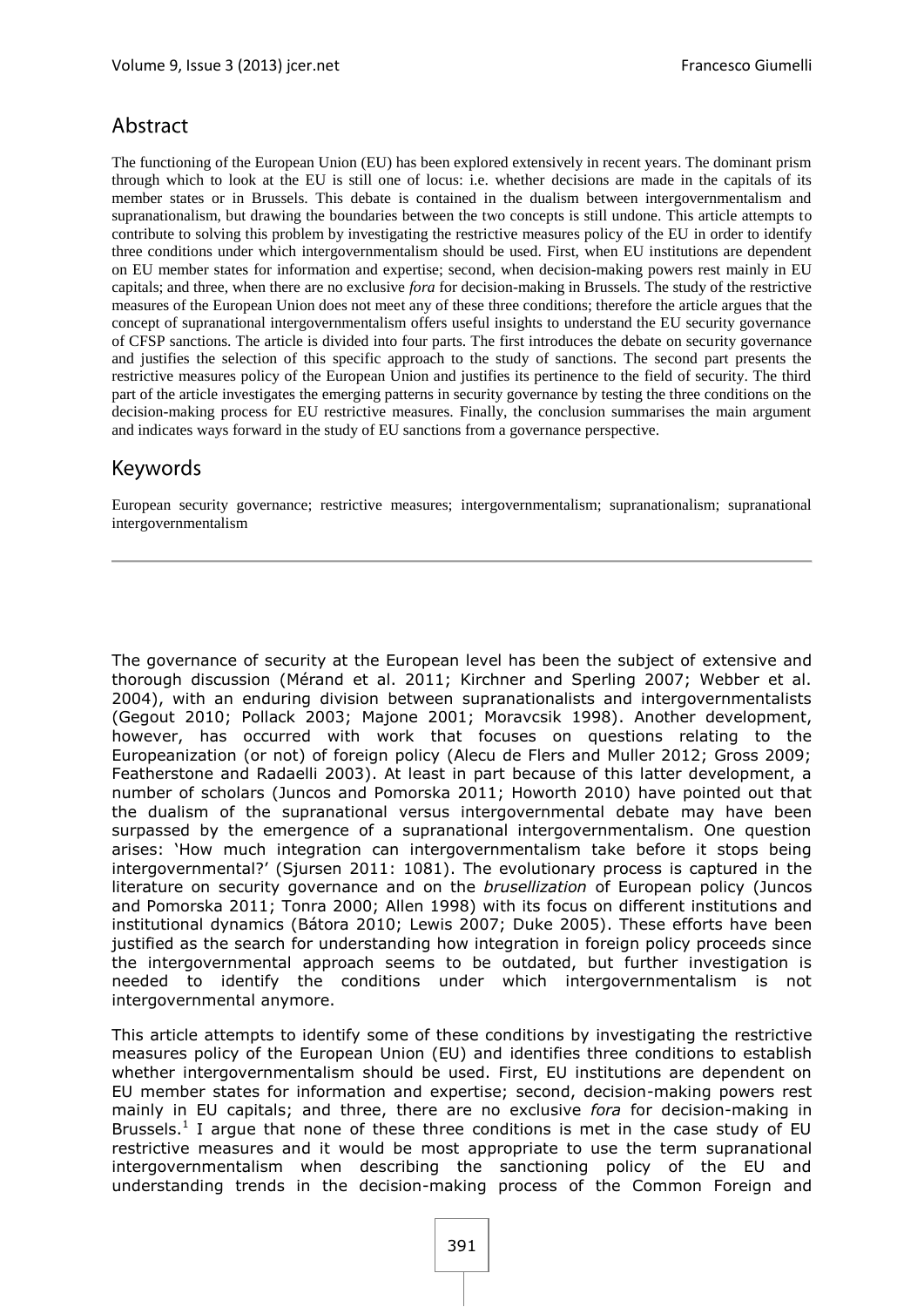## Abstract

The functioning of the European Union (EU) has been explored extensively in recent years. The dominant prism through which to look at the EU is still one of locus: i.e. whether decisions are made in the capitals of its member states or in Brussels. This debate is contained in the dualism between intergovernmentalism and supranationalism, but drawing the boundaries between the two concepts is still undone. This article attempts to contribute to solving this problem by investigating the restrictive measures policy of the EU in order to identify three conditions under which intergovernmentalism should be used. First, when EU institutions are dependent on EU member states for information and expertise; second, when decision-making powers rest mainly in EU capitals; and three, when there are no exclusive *fora* for decision-making in Brussels. The study of the restrictive measures of the European Union does not meet any of these three conditions; therefore the article argues that the concept of supranational intergovernmentalism offers useful insights to understand the EU security governance of CFSP sanctions. The article is divided into four parts. The first introduces the debate on security governance and justifies the selection of this specific approach to the study of sanctions. The second part presents the restrictive measures policy of the European Union and justifies its pertinence to the field of security. The third part of the article investigates the emerging patterns in security governance by testing the three conditions on the decision-making process for EU restrictive measures. Finally, the conclusion summarises the main argument and indicates ways forward in the study of EU sanctions from a governance perspective.

### Keywords

European security governance; restrictive measures; intergovernmentalism; supranationalism; supranational intergovernmentalism

The governance of security at the European level has been the subject of extensive and thorough discussion (Mérand et al. 2011; Kirchner and Sperling 2007; Webber et al. 2004), with an enduring division between supranationalists and intergovernmentalists (Gegout 2010; Pollack 2003; Majone 2001; Moravcsik 1998). Another development, however, has occurred with work that focuses on questions relating to the Europeanization (or not) of foreign policy (Alecu de Flers and Muller 2012; Gross 2009; Featherstone and Radaelli 2003). At least in part because of this latter development, a number of scholars (Juncos and Pomorska 2011; Howorth 2010) have pointed out that the dualism of the supranational versus intergovernmental debate may have been surpassed by the emergence of a supranational intergovernmentalism. One question arises: 'How much integration can intergovernmentalism take before it stops being intergovernmental?' (Sjursen 2011: 1081). The evolutionary process is captured in the literature on security governance and on the *brusellization* of European policy (Juncos and Pomorska 2011; Tonra 2000; Allen 1998) with its focus on different institutions and institutional dynamics (Bátora 2010; Lewis 2007; Duke 2005). These efforts have been justified as the search for understanding how integration in foreign policy proceeds since the intergovernmental approach seems to be outdated, but further investigation is needed to identify the conditions under which intergovernmentalism is not intergovernmental anymore.

This article attempts to identify some of these conditions by investigating the restrictive measures policy of the European Union (EU) and identifies three conditions to establish whether intergovernmentalism should be used. First, EU institutions are dependent on EU member states for information and expertise; second, decision-making powers rest mainly in EU capitals; and three, there are no exclusive *fora* for decision-making in Brussels.<sup>1</sup> I argue that none of these three conditions is met in the case study of EU restrictive measures and it would be most appropriate to use the term supranational intergovernmentalism when describing the sanctioning policy of the EU and understanding trends in the decision-making process of the Common Foreign and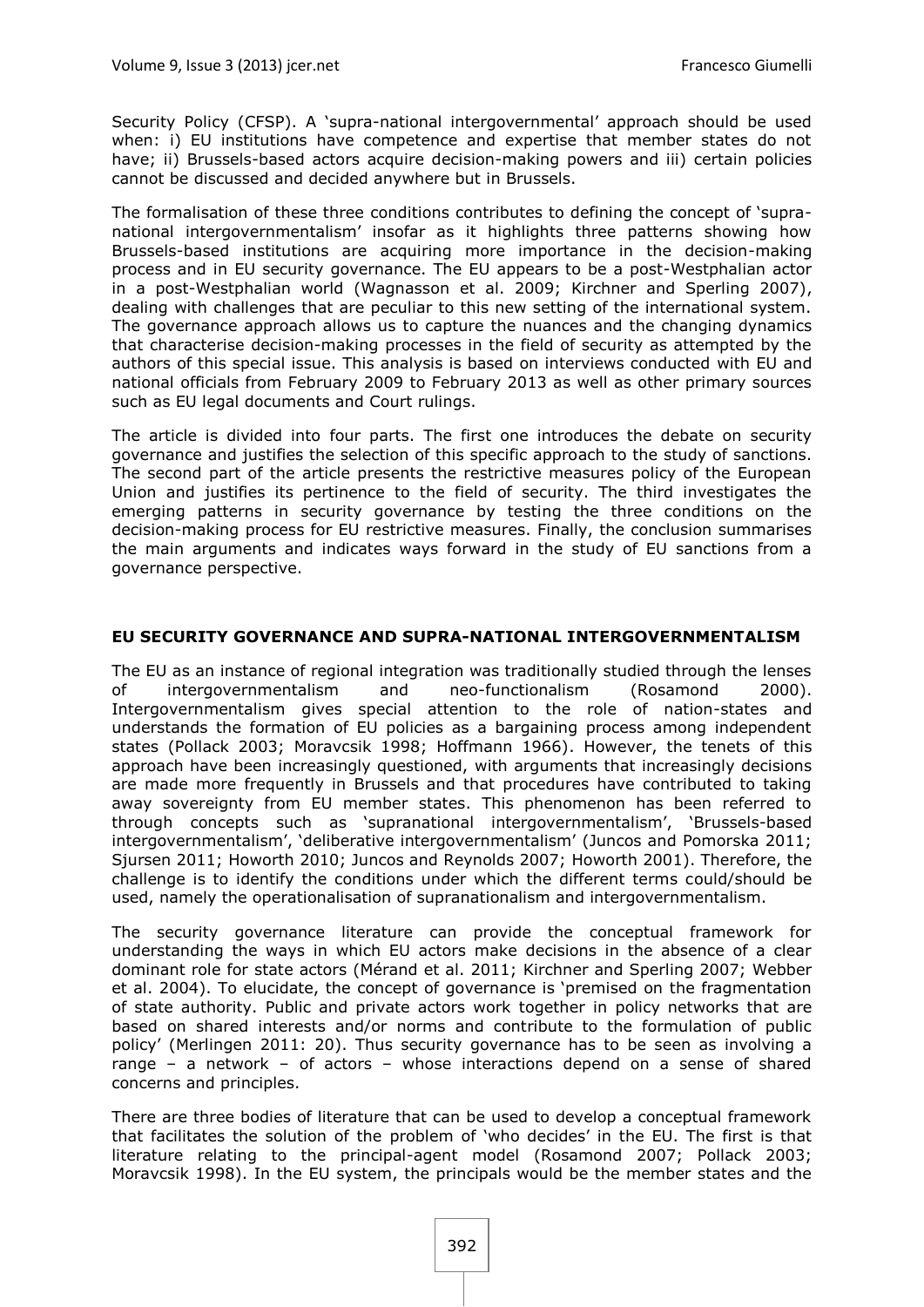Security Policy (CFSP). A 'supra-national intergovernmental' approach should be used when: i) EU institutions have competence and expertise that member states do not have; ii) Brussels-based actors acquire decision-making powers and iii) certain policies cannot be discussed and decided anywhere but in Brussels.

The formalisation of these three conditions contributes to defining the concept of 'supranational intergovernmentalism' insofar as it highlights three patterns showing how Brussels-based institutions are acquiring more importance in the decision-making process and in EU security governance. The EU appears to be a post-Westphalian actor in a post-Westphalian world (Wagnasson et al. 2009; Kirchner and Sperling 2007), dealing with challenges that are peculiar to this new setting of the international system. The governance approach allows us to capture the nuances and the changing dynamics that characterise decision-making processes in the field of security as attempted by the authors of this special issue. This analysis is based on interviews conducted with EU and national officials from February 2009 to February 2013 as well as other primary sources such as EU legal documents and Court rulings.

The article is divided into four parts. The first one introduces the debate on security governance and justifies the selection of this specific approach to the study of sanctions. The second part of the article presents the restrictive measures policy of the European Union and justifies its pertinence to the field of security. The third investigates the emerging patterns in security governance by testing the three conditions on the decision-making process for EU restrictive measures. Finally, the conclusion summarises the main arguments and indicates ways forward in the study of EU sanctions from a governance perspective.

#### **EU SECURITY GOVERNANCE AND SUPRA-NATIONAL INTERGOVERNMENTALISM**

The EU as an instance of regional integration was traditionally studied through the lenses of intergovernmentalism and neo-functionalism (Rosamond 2000). Intergovernmentalism gives special attention to the role of nation-states and understands the formation of EU policies as a bargaining process among independent states (Pollack 2003; Moravcsik 1998; Hoffmann 1966). However, the tenets of this approach have been increasingly questioned, with arguments that increasingly decisions are made more frequently in Brussels and that procedures have contributed to taking away sovereignty from EU member states. This phenomenon has been referred to through concepts such as 'supranational intergovernmentalism', 'Brussels-based intergovernmentalism', 'deliberative intergovernmentalism' (Juncos and Pomorska 2011; Sjursen 2011; Howorth 2010; Juncos and Reynolds 2007; Howorth 2001). Therefore, the challenge is to identify the conditions under which the different terms could/should be used, namely the operationalisation of supranationalism and intergovernmentalism.

The security governance literature can provide the conceptual framework for understanding the ways in which EU actors make decisions in the absence of a clear dominant role for state actors (Mérand et al. 2011; Kirchner and Sperling 2007; Webber et al. 2004). To elucidate, the concept of governance is 'premised on the fragmentation of state authority. Public and private actors work together in policy networks that are based on shared interests and/or norms and contribute to the formulation of public policy' (Merlingen 2011: 20). Thus security governance has to be seen as involving a range – a network – of actors – whose interactions depend on a sense of shared concerns and principles.

There are three bodies of literature that can be used to develop a conceptual framework that facilitates the solution of the problem of 'who decides' in the EU. The first is that literature relating to the principal-agent model (Rosamond 2007; Pollack 2003; Moravcsik 1998). In the EU system, the principals would be the member states and the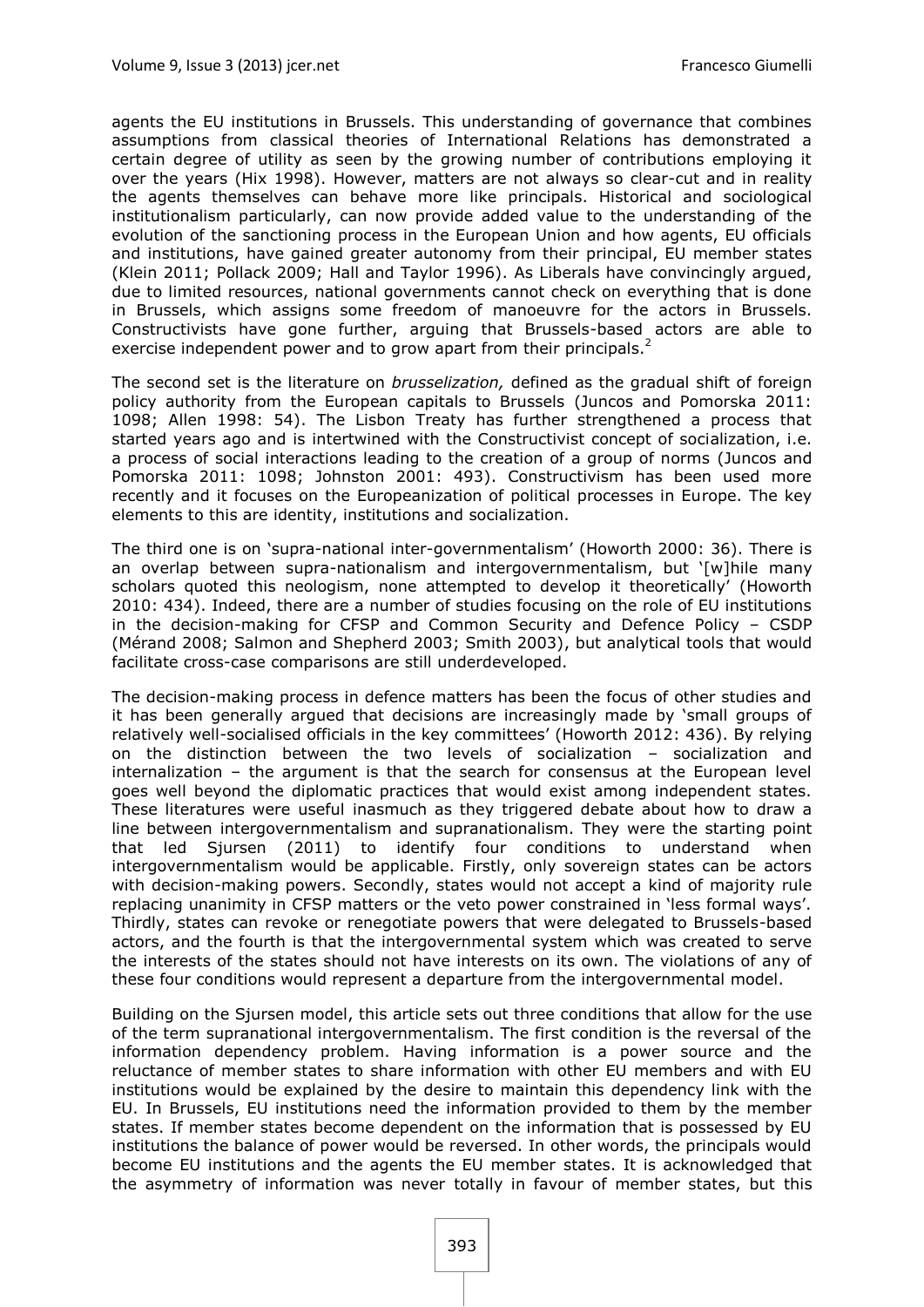agents the EU institutions in Brussels. This understanding of governance that combines assumptions from classical theories of International Relations has demonstrated a certain degree of utility as seen by the growing number of contributions employing it over the years (Hix 1998). However, matters are not always so clear-cut and in reality the agents themselves can behave more like principals. Historical and sociological institutionalism particularly, can now provide added value to the understanding of the evolution of the sanctioning process in the European Union and how agents, EU officials and institutions, have gained greater autonomy from their principal, EU member states (Klein 2011; Pollack 2009; Hall and Taylor 1996). As Liberals have convincingly argued, due to limited resources, national governments cannot check on everything that is done in Brussels, which assigns some freedom of manoeuvre for the actors in Brussels. Constructivists have gone further, arguing that Brussels-based actors are able to exercise independent power and to grow apart from their principals.<sup>2</sup>

The second set is the literature on *brusselization,* defined as the gradual shift of foreign policy authority from the European capitals to Brussels (Juncos and Pomorska 2011: 1098; Allen 1998: 54). The Lisbon Treaty has further strengthened a process that started years ago and is intertwined with the Constructivist concept of socialization, i.e. a process of social interactions leading to the creation of a group of norms (Juncos and Pomorska 2011: 1098; Johnston 2001: 493). Constructivism has been used more recently and it focuses on the Europeanization of political processes in Europe. The key elements to this are identity, institutions and socialization.

The third one is on 'supra-national inter-governmentalism' (Howorth 2000: 36). There is an overlap between supra-nationalism and intergovernmentalism, but '[w]hile many scholars quoted this neologism, none attempted to develop it theoretically' (Howorth 2010: 434). Indeed, there are a number of studies focusing on the role of EU institutions in the decision-making for CFSP and Common Security and Defence Policy – CSDP (Mérand 2008; Salmon and Shepherd 2003; Smith 2003), but analytical tools that would facilitate cross-case comparisons are still underdeveloped.

The decision-making process in defence matters has been the focus of other studies and it has been generally argued that decisions are increasingly made by 'small groups of relatively well-socialised officials in the key committees' (Howorth 2012: 436). By relying on the distinction between the two levels of socialization – socialization and internalization – the argument is that the search for consensus at the European level goes well beyond the diplomatic practices that would exist among independent states. These literatures were useful inasmuch as they triggered debate about how to draw a line between intergovernmentalism and supranationalism. They were the starting point that led Sjursen (2011) to identify four conditions to understand when intergovernmentalism would be applicable. Firstly, only sovereign states can be actors with decision-making powers. Secondly, states would not accept a kind of majority rule replacing unanimity in CFSP matters or the veto power constrained in 'less formal ways'. Thirdly, states can revoke or renegotiate powers that were delegated to Brussels-based actors, and the fourth is that the intergovernmental system which was created to serve the interests of the states should not have interests on its own. The violations of any of these four conditions would represent a departure from the intergovernmental model.

Building on the Sjursen model, this article sets out three conditions that allow for the use of the term supranational intergovernmentalism. The first condition is the reversal of the information dependency problem. Having information is a power source and the reluctance of member states to share information with other EU members and with EU institutions would be explained by the desire to maintain this dependency link with the EU. In Brussels, EU institutions need the information provided to them by the member states. If member states become dependent on the information that is possessed by EU institutions the balance of power would be reversed. In other words, the principals would become EU institutions and the agents the EU member states. It is acknowledged that the asymmetry of information was never totally in favour of member states, but this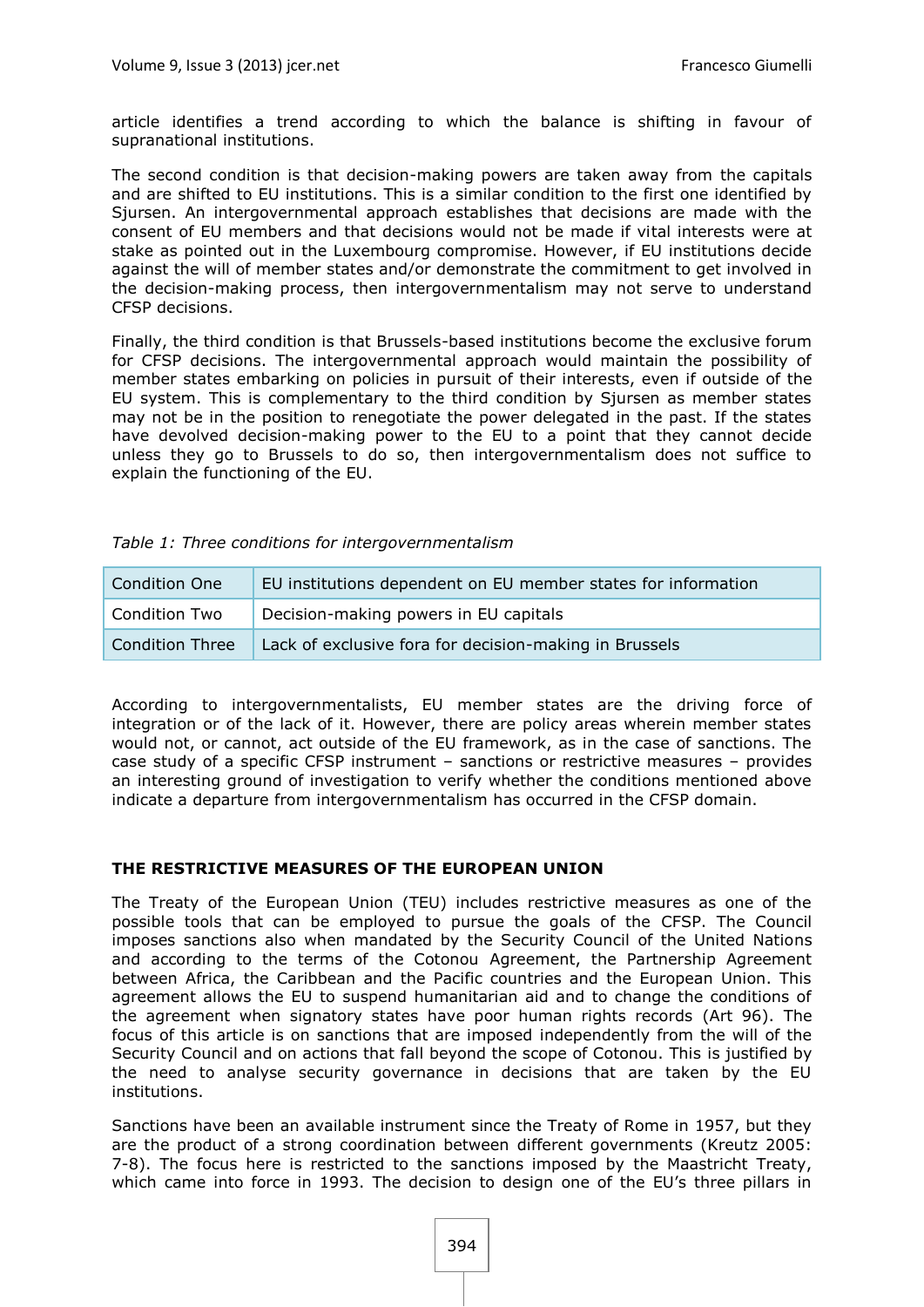article identifies a trend according to which the balance is shifting in favour of supranational institutions.

The second condition is that decision-making powers are taken away from the capitals and are shifted to EU institutions. This is a similar condition to the first one identified by Sjursen. An intergovernmental approach establishes that decisions are made with the consent of EU members and that decisions would not be made if vital interests were at stake as pointed out in the Luxembourg compromise. However, if EU institutions decide against the will of member states and/or demonstrate the commitment to get involved in the decision-making process, then intergovernmentalism may not serve to understand CFSP decisions.

Finally, the third condition is that Brussels-based institutions become the exclusive forum for CFSP decisions. The intergovernmental approach would maintain the possibility of member states embarking on policies in pursuit of their interests, even if outside of the EU system. This is complementary to the third condition by Sjursen as member states may not be in the position to renegotiate the power delegated in the past. If the states have devolved decision-making power to the EU to a point that they cannot decide unless they go to Brussels to do so, then intergovernmentalism does not suffice to explain the functioning of the EU.

| <b>Condition One</b> | EU institutions dependent on EU member states for information |
|----------------------|---------------------------------------------------------------|
| <b>Condition Two</b> | Decision-making powers in EU capitals                         |
| Condition Three      | Lack of exclusive fora for decision-making in Brussels        |

According to intergovernmentalists, EU member states are the driving force of integration or of the lack of it. However, there are policy areas wherein member states would not, or cannot, act outside of the EU framework, as in the case of sanctions. The case study of a specific CFSP instrument – sanctions or restrictive measures – provides an interesting ground of investigation to verify whether the conditions mentioned above indicate a departure from intergovernmentalism has occurred in the CFSP domain.

#### **THE RESTRICTIVE MEASURES OF THE EUROPEAN UNION**

The Treaty of the European Union (TEU) includes restrictive measures as one of the possible tools that can be employed to pursue the goals of the CFSP. The Council imposes sanctions also when mandated by the Security Council of the United Nations and according to the terms of the Cotonou Agreement, the Partnership Agreement between Africa, the Caribbean and the Pacific countries and the European Union. This agreement allows the EU to suspend humanitarian aid and to change the conditions of the agreement when signatory states have poor human rights records (Art 96). The focus of this article is on sanctions that are imposed independently from the will of the Security Council and on actions that fall beyond the scope of Cotonou. This is justified by the need to analyse security governance in decisions that are taken by the EU institutions.

Sanctions have been an available instrument since the Treaty of Rome in 1957, but they are the product of a strong coordination between different governments (Kreutz 2005: 7-8). The focus here is restricted to the sanctions imposed by the Maastricht Treaty, which came into force in 1993. The decision to design one of the EU's three pillars in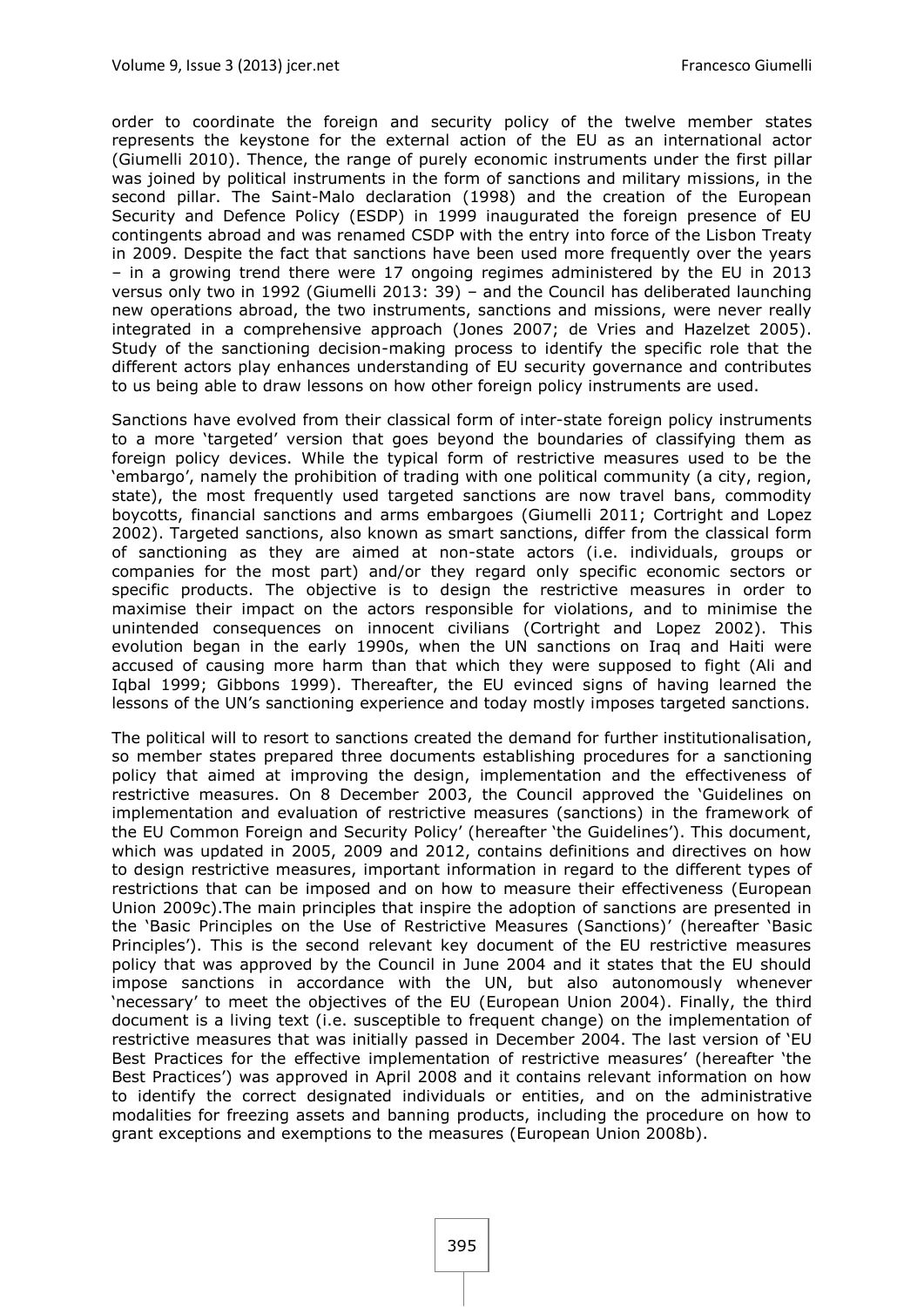order to coordinate the foreign and security policy of the twelve member states represents the keystone for the external action of the EU as an international actor (Giumelli 2010). Thence, the range of purely economic instruments under the first pillar was joined by political instruments in the form of sanctions and military missions, in the second pillar. The Saint-Malo declaration (1998) and the creation of the European Security and Defence Policy (ESDP) in 1999 inaugurated the foreign presence of EU contingents abroad and was renamed CSDP with the entry into force of the Lisbon Treaty in 2009. Despite the fact that sanctions have been used more frequently over the years – in a growing trend there were 17 ongoing regimes administered by the EU in 2013 versus only two in 1992 (Giumelli 2013: 39) – and the Council has deliberated launching new operations abroad, the two instruments, sanctions and missions, were never really integrated in a comprehensive approach (Jones 2007; de Vries and Hazelzet 2005). Study of the sanctioning decision-making process to identify the specific role that the different actors play enhances understanding of EU security governance and contributes to us being able to draw lessons on how other foreign policy instruments are used.

Sanctions have evolved from their classical form of inter-state foreign policy instruments to a more 'targeted' version that goes beyond the boundaries of classifying them as foreign policy devices. While the typical form of restrictive measures used to be the 'embargo', namely the prohibition of trading with one political community (a city, region, state), the most frequently used targeted sanctions are now travel bans, commodity boycotts, financial sanctions and arms embargoes (Giumelli 2011; Cortright and Lopez 2002). Targeted sanctions, also known as smart sanctions, differ from the classical form of sanctioning as they are aimed at non-state actors (i.e. individuals, groups or companies for the most part) and/or they regard only specific economic sectors or specific products. The objective is to design the restrictive measures in order to maximise their impact on the actors responsible for violations, and to minimise the unintended consequences on innocent civilians (Cortright and Lopez 2002). This evolution began in the early 1990s, when the UN sanctions on Iraq and Haiti were accused of causing more harm than that which they were supposed to fight (Ali and Iqbal 1999; Gibbons 1999). Thereafter, the EU evinced signs of having learned the lessons of the UN's sanctioning experience and today mostly imposes targeted sanctions.

The political will to resort to sanctions created the demand for further institutionalisation, so member states prepared three documents establishing procedures for a sanctioning policy that aimed at improving the design, implementation and the effectiveness of restrictive measures. On 8 December 2003, the Council approved the 'Guidelines on implementation and evaluation of restrictive measures (sanctions) in the framework of the EU Common Foreign and Security Policy' (hereafter 'the Guidelines'). This document, which was updated in 2005, 2009 and 2012, contains definitions and directives on how to design restrictive measures, important information in regard to the different types of restrictions that can be imposed and on how to measure their effectiveness (European Union 2009c).The main principles that inspire the adoption of sanctions are presented in the 'Basic Principles on the Use of Restrictive Measures (Sanctions)' (hereafter 'Basic Principles'). This is the second relevant key document of the EU restrictive measures policy that was approved by the Council in June 2004 and it states that the EU should impose sanctions in accordance with the UN, but also autonomously whenever 'necessary' to meet the objectives of the EU (European Union 2004). Finally, the third document is a living text (i.e. susceptible to frequent change) on the implementation of restrictive measures that was initially passed in December 2004. The last version of 'EU Best Practices for the effective implementation of restrictive measures' (hereafter 'the Best Practices') was approved in April 2008 and it contains relevant information on how to identify the correct designated individuals or entities, and on the administrative modalities for freezing assets and banning products, including the procedure on how to grant exceptions and exemptions to the measures (European Union 2008b).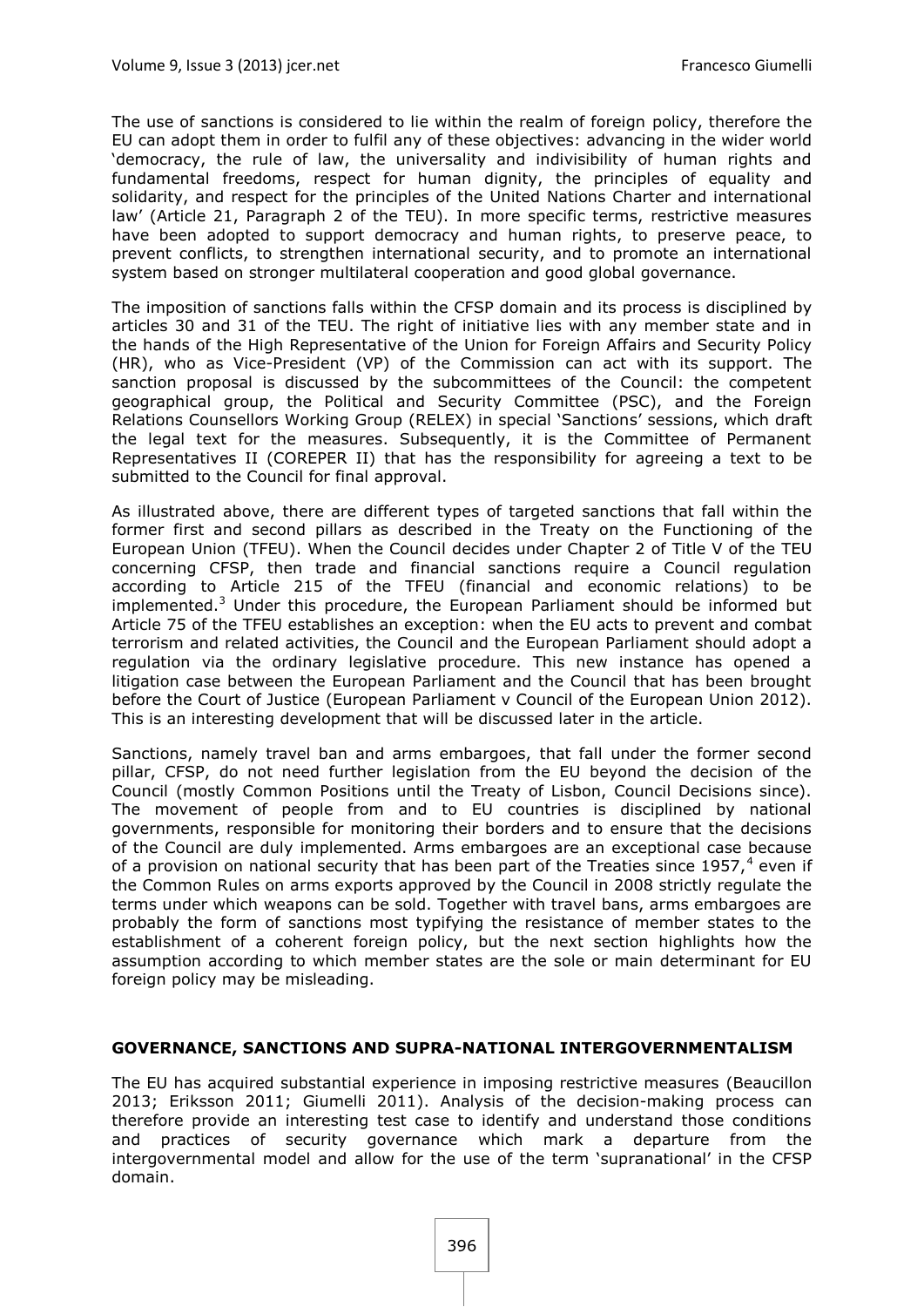The use of sanctions is considered to lie within the realm of foreign policy, therefore the EU can adopt them in order to fulfil any of these objectives: advancing in the wider world 'democracy, the rule of law, the universality and indivisibility of human rights and fundamental freedoms, respect for human dignity, the principles of equality and solidarity, and respect for the principles of the United Nations Charter and international law' (Article 21, Paragraph 2 of the TEU). In more specific terms, restrictive measures have been adopted to support democracy and human rights, to preserve peace, to prevent conflicts, to strengthen international security, and to promote an international system based on stronger multilateral cooperation and good global governance.

The imposition of sanctions falls within the CFSP domain and its process is disciplined by articles 30 and 31 of the TEU. The right of initiative lies with any member state and in the hands of the High Representative of the Union for Foreign Affairs and Security Policy (HR), who as Vice-President (VP) of the Commission can act with its support. The sanction proposal is discussed by the subcommittees of the Council: the competent geographical group, the Political and Security Committee (PSC), and the Foreign Relations Counsellors Working Group (RELEX) in special 'Sanctions' sessions, which draft the legal text for the measures. Subsequently, it is the Committee of Permanent Representatives II (COREPER II) that has the responsibility for agreeing a text to be submitted to the Council for final approval.

As illustrated above, there are different types of targeted sanctions that fall within the former first and second pillars as described in the Treaty on the Functioning of the European Union (TFEU). When the Council decides under Chapter 2 of Title V of the TEU concerning CFSP, then trade and financial sanctions require a Council regulation according to Article 215 of the TFEU (financial and economic relations) to be implemented. $3$  Under this procedure, the European Parliament should be informed but Article 75 of the TFEU establishes an exception: when the EU acts to prevent and combat terrorism and related activities, the Council and the European Parliament should adopt a regulation via the ordinary legislative procedure. This new instance has opened a litigation case between the European Parliament and the Council that has been brought before the Court of Justice (European Parliament v Council of the European Union 2012). This is an interesting development that will be discussed later in the article.

Sanctions, namely travel ban and arms embargoes, that fall under the former second pillar, CFSP, do not need further legislation from the EU beyond the decision of the Council (mostly Common Positions until the Treaty of Lisbon, Council Decisions since). The movement of people from and to EU countries is disciplined by national governments, responsible for monitoring their borders and to ensure that the decisions of the Council are duly implemented. Arms embargoes are an exceptional case because of a provision on national security that has been part of the Treaties since 1957,<sup>4</sup> even if the Common Rules on arms exports approved by the Council in 2008 strictly regulate the terms under which weapons can be sold. Together with travel bans, arms embargoes are probably the form of sanctions most typifying the resistance of member states to the establishment of a coherent foreign policy, but the next section highlights how the assumption according to which member states are the sole or main determinant for EU foreign policy may be misleading.

#### **GOVERNANCE, SANCTIONS AND SUPRA-NATIONAL INTERGOVERNMENTALISM**

The EU has acquired substantial experience in imposing restrictive measures (Beaucillon 2013; Eriksson 2011; Giumelli 2011). Analysis of the decision-making process can therefore provide an interesting test case to identify and understand those conditions and practices of security governance which mark a departure from the intergovernmental model and allow for the use of the term 'supranational' in the CFSP domain.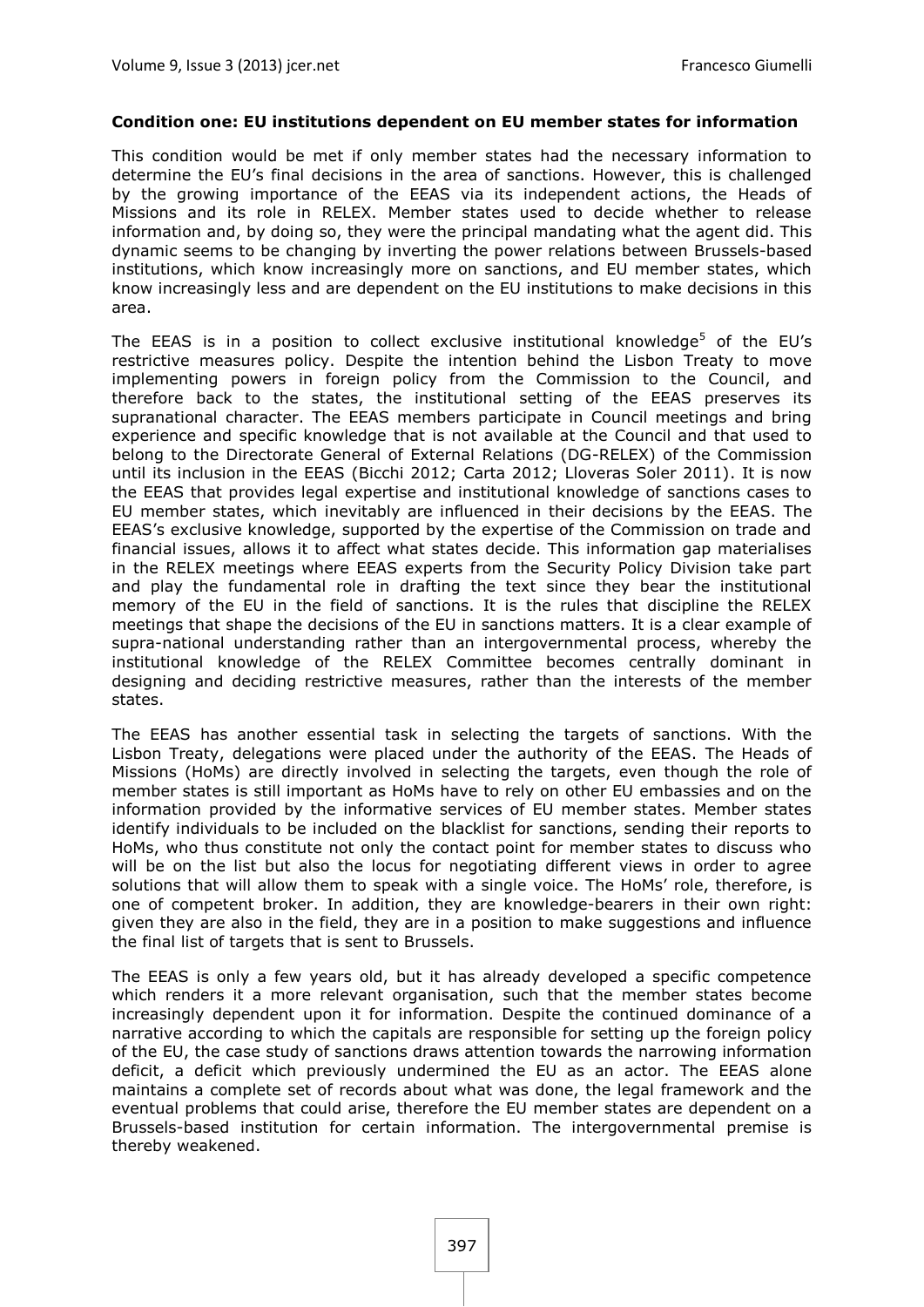#### **Condition one: EU institutions dependent on EU member states for information**

This condition would be met if only member states had the necessary information to determine the EU's final decisions in the area of sanctions. However, this is challenged by the growing importance of the EEAS via its independent actions, the Heads of Missions and its role in RELEX. Member states used to decide whether to release information and, by doing so, they were the principal mandating what the agent did. This dynamic seems to be changing by inverting the power relations between Brussels-based institutions, which know increasingly more on sanctions, and EU member states, which know increasingly less and are dependent on the EU institutions to make decisions in this area.

The EEAS is in a position to collect exclusive institutional knowledge<sup>5</sup> of the EU's restrictive measures policy. Despite the intention behind the Lisbon Treaty to move implementing powers in foreign policy from the Commission to the Council, and therefore back to the states, the institutional setting of the EEAS preserves its supranational character. The EEAS members participate in Council meetings and bring experience and specific knowledge that is not available at the Council and that used to belong to the Directorate General of External Relations (DG-RELEX) of the Commission until its inclusion in the EEAS (Bicchi 2012; Carta 2012; Lloveras Soler 2011). It is now the EEAS that provides legal expertise and institutional knowledge of sanctions cases to EU member states, which inevitably are influenced in their decisions by the EEAS. The EEAS's exclusive knowledge, supported by the expertise of the Commission on trade and financial issues, allows it to affect what states decide. This information gap materialises in the RELEX meetings where EEAS experts from the Security Policy Division take part and play the fundamental role in drafting the text since they bear the institutional memory of the EU in the field of sanctions. It is the rules that discipline the RELEX meetings that shape the decisions of the EU in sanctions matters. It is a clear example of supra-national understanding rather than an intergovernmental process, whereby the institutional knowledge of the RELEX Committee becomes centrally dominant in designing and deciding restrictive measures, rather than the interests of the member states.

The EEAS has another essential task in selecting the targets of sanctions. With the Lisbon Treaty, delegations were placed under the authority of the EEAS. The Heads of Missions (HoMs) are directly involved in selecting the targets, even though the role of member states is still important as HoMs have to rely on other EU embassies and on the information provided by the informative services of EU member states. Member states identify individuals to be included on the blacklist for sanctions, sending their reports to HoMs, who thus constitute not only the contact point for member states to discuss who will be on the list but also the locus for negotiating different views in order to agree solutions that will allow them to speak with a single voice. The HoMs' role, therefore, is one of competent broker. In addition, they are knowledge-bearers in their own right: given they are also in the field, they are in a position to make suggestions and influence the final list of targets that is sent to Brussels.

The EEAS is only a few years old, but it has already developed a specific competence which renders it a more relevant organisation, such that the member states become increasingly dependent upon it for information. Despite the continued dominance of a narrative according to which the capitals are responsible for setting up the foreign policy of the EU, the case study of sanctions draws attention towards the narrowing information deficit, a deficit which previously undermined the EU as an actor. The EEAS alone maintains a complete set of records about what was done, the legal framework and the eventual problems that could arise, therefore the EU member states are dependent on a Brussels-based institution for certain information. The intergovernmental premise is thereby weakened.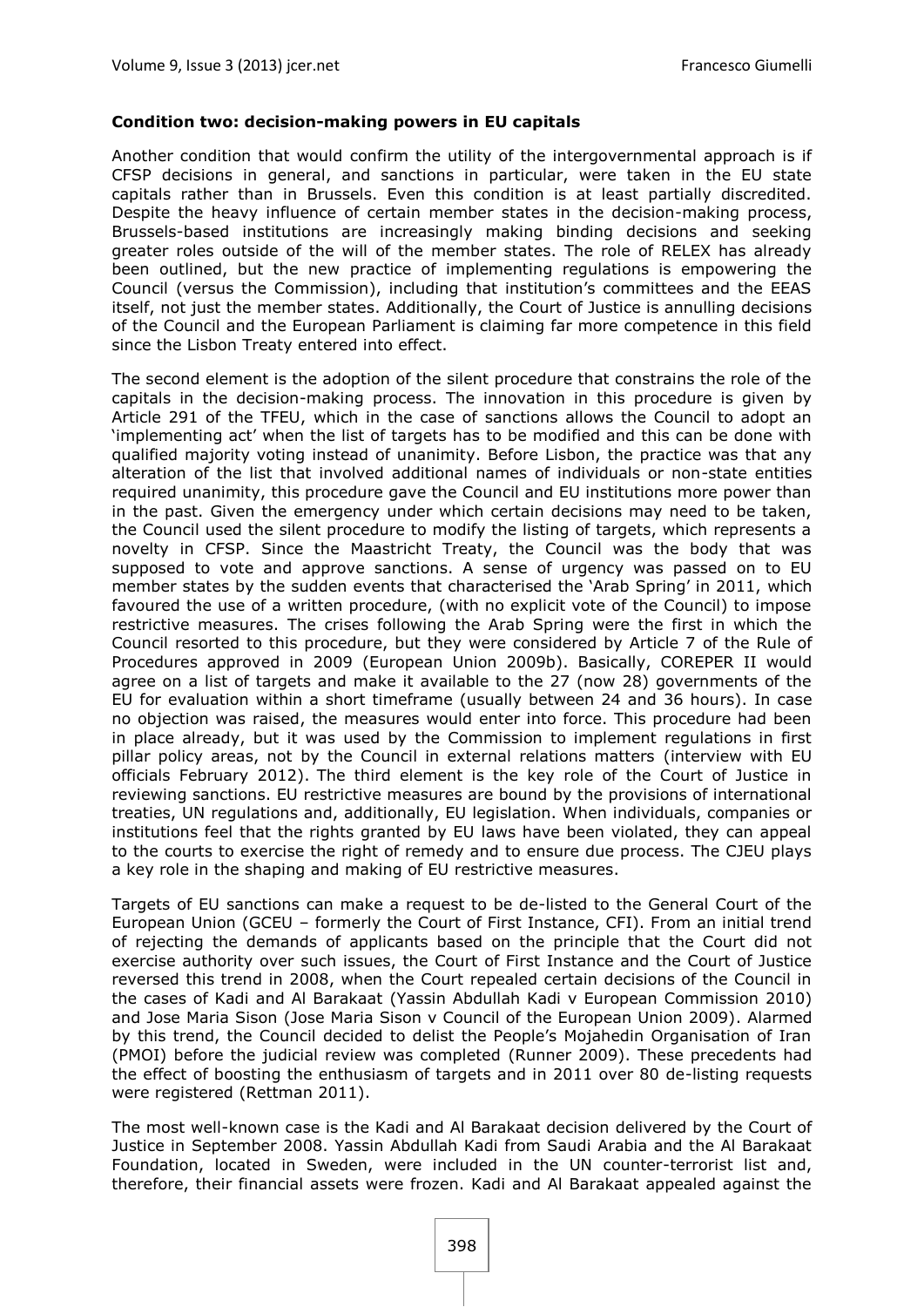#### **Condition two: decision-making powers in EU capitals**

Another condition that would confirm the utility of the intergovernmental approach is if CFSP decisions in general, and sanctions in particular, were taken in the EU state capitals rather than in Brussels. Even this condition is at least partially discredited. Despite the heavy influence of certain member states in the decision-making process, Brussels-based institutions are increasingly making binding decisions and seeking greater roles outside of the will of the member states. The role of RELEX has already been outlined, but the new practice of implementing regulations is empowering the Council (versus the Commission), including that institution's committees and the EEAS itself, not just the member states. Additionally, the Court of Justice is annulling decisions of the Council and the European Parliament is claiming far more competence in this field since the Lisbon Treaty entered into effect.

The second element is the adoption of the silent procedure that constrains the role of the capitals in the decision-making process. The innovation in this procedure is given by Article 291 of the TFEU, which in the case of sanctions allows the Council to adopt an 'implementing act' when the list of targets has to be modified and this can be done with qualified majority voting instead of unanimity. Before Lisbon, the practice was that any alteration of the list that involved additional names of individuals or non-state entities required unanimity, this procedure gave the Council and EU institutions more power than in the past. Given the emergency under which certain decisions may need to be taken, the Council used the silent procedure to modify the listing of targets, which represents a novelty in CFSP. Since the Maastricht Treaty, the Council was the body that was supposed to vote and approve sanctions. A sense of urgency was passed on to EU member states by the sudden events that characterised the 'Arab Spring' in 2011, which favoured the use of a written procedure, (with no explicit vote of the Council) to impose restrictive measures. The crises following the Arab Spring were the first in which the Council resorted to this procedure, but they were considered by Article 7 of the Rule of Procedures approved in 2009 (European Union 2009b). Basically, COREPER II would agree on a list of targets and make it available to the 27 (now 28) governments of the EU for evaluation within a short timeframe (usually between 24 and 36 hours). In case no objection was raised, the measures would enter into force. This procedure had been in place already, but it was used by the Commission to implement regulations in first pillar policy areas, not by the Council in external relations matters (interview with EU officials February 2012). The third element is the key role of the Court of Justice in reviewing sanctions. EU restrictive measures are bound by the provisions of international treaties, UN regulations and, additionally, EU legislation. When individuals, companies or institutions feel that the rights granted by EU laws have been violated, they can appeal to the courts to exercise the right of remedy and to ensure due process. The CJEU plays a key role in the shaping and making of EU restrictive measures.

Targets of EU sanctions can make a request to be de-listed to the General Court of the European Union (GCEU – formerly the Court of First Instance, CFI). From an initial trend of rejecting the demands of applicants based on the principle that the Court did not exercise authority over such issues, the Court of First Instance and the Court of Justice reversed this trend in 2008, when the Court repealed certain decisions of the Council in the cases of Kadi and Al Barakaat (Yassin Abdullah Kadi v European Commission 2010) and Jose Maria Sison (Jose Maria Sison v Council of the European Union 2009). Alarmed by this trend, the Council decided to delist the People's Mojahedin Organisation of Iran (PMOI) before the judicial review was completed (Runner 2009). These precedents had the effect of boosting the enthusiasm of targets and in 2011 over 80 de-listing requests were registered (Rettman 2011).

The most well-known case is the Kadi and Al Barakaat decision delivered by the Court of Justice in September 2008. Yassin Abdullah Kadi from Saudi Arabia and the Al Barakaat Foundation, located in Sweden, were included in the UN counter-terrorist list and, therefore, their financial assets were frozen. Kadi and Al Barakaat appealed against the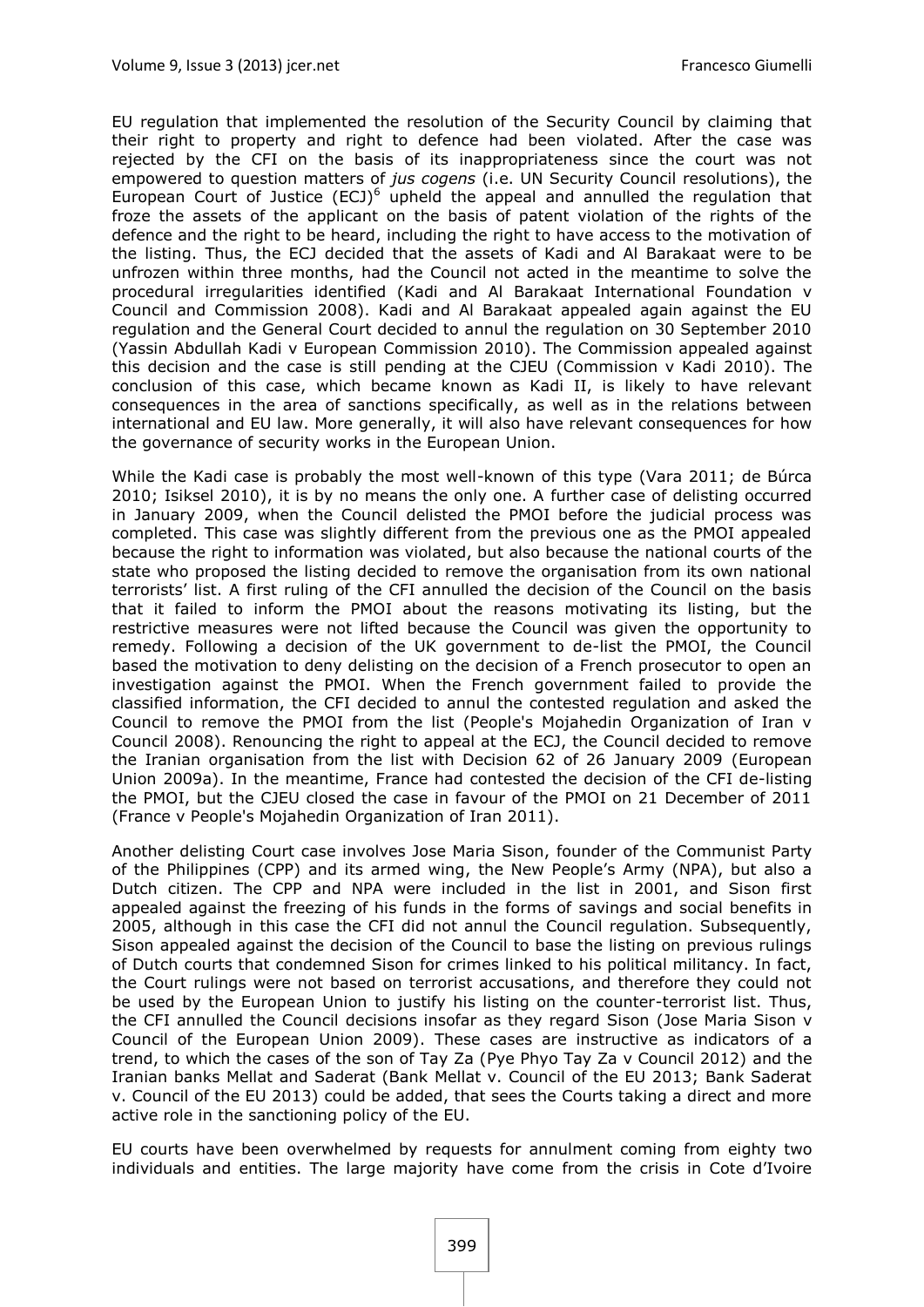EU regulation that implemented the resolution of the Security Council by claiming that their right to property and right to defence had been violated. After the case was rejected by the CFI on the basis of its inappropriateness since the court was not empowered to question matters of *jus cogens* (i.e. UN Security Council resolutions), the European Court of Justice  $(ECJ)^6$  upheld the appeal and annulled the regulation that froze the assets of the applicant on the basis of patent violation of the rights of the defence and the right to be heard, including the right to have access to the motivation of the listing. Thus, the ECJ decided that the assets of Kadi and Al Barakaat were to be unfrozen within three months, had the Council not acted in the meantime to solve the procedural irregularities identified (Kadi and Al Barakaat International Foundation v Council and Commission 2008). Kadi and Al Barakaat appealed again against the EU regulation and the General Court decided to annul the regulation on 30 September 2010 (Yassin Abdullah Kadi v European Commission 2010). The Commission appealed against this decision and the case is still pending at the CJEU (Commission v Kadi 2010). The conclusion of this case, which became known as Kadi II, is likely to have relevant consequences in the area of sanctions specifically, as well as in the relations between international and EU law. More generally, it will also have relevant consequences for how the governance of security works in the European Union.

While the Kadi case is probably the most well-known of this type (Vara 2011; de Búrca 2010; Isiksel 2010), it is by no means the only one. A further case of delisting occurred in January 2009, when the Council delisted the PMOI before the judicial process was completed. This case was slightly different from the previous one as the PMOI appealed because the right to information was violated, but also because the national courts of the state who proposed the listing decided to remove the organisation from its own national terrorists' list. A first ruling of the CFI annulled the decision of the Council on the basis that it failed to inform the PMOI about the reasons motivating its listing, but the restrictive measures were not lifted because the Council was given the opportunity to remedy. Following a decision of the UK government to de-list the PMOI, the Council based the motivation to deny delisting on the decision of a French prosecutor to open an investigation against the PMOI. When the French government failed to provide the classified information, the CFI decided to annul the contested regulation and asked the Council to remove the PMOI from the list (People's Mojahedin Organization of Iran v Council 2008). Renouncing the right to appeal at the ECJ, the Council decided to remove the Iranian organisation from the list with Decision 62 of 26 January 2009 (European Union 2009a). In the meantime, France had contested the decision of the CFI de-listing the PMOI, but the CJEU closed the case in favour of the PMOI on 21 December of 2011 (France v People's Mojahedin Organization of Iran 2011).

Another delisting Court case involves Jose Maria Sison, founder of the Communist Party of the Philippines (CPP) and its armed wing, the New People's Army (NPA), but also a Dutch citizen. The CPP and NPA were included in the list in 2001, and Sison first appealed against the freezing of his funds in the forms of savings and social benefits in 2005, although in this case the CFI did not annul the Council regulation. Subsequently, Sison appealed against the decision of the Council to base the listing on previous rulings of Dutch courts that condemned Sison for crimes linked to his political militancy. In fact, the Court rulings were not based on terrorist accusations, and therefore they could not be used by the European Union to justify his listing on the counter-terrorist list. Thus, the CFI annulled the Council decisions insofar as they regard Sison (Jose Maria Sison v Council of the European Union 2009). These cases are instructive as indicators of a trend, to which the cases of the son of Tay Za (Pye Phyo Tay Za v Council 2012) and the Iranian banks Mellat and Saderat (Bank Mellat v. Council of the EU 2013; Bank Saderat v. Council of the EU 2013) could be added, that sees the Courts taking a direct and more active role in the sanctioning policy of the EU.

EU courts have been overwhelmed by requests for annulment coming from eighty two individuals and entities. The large majority have come from the crisis in Cote d'Ivoire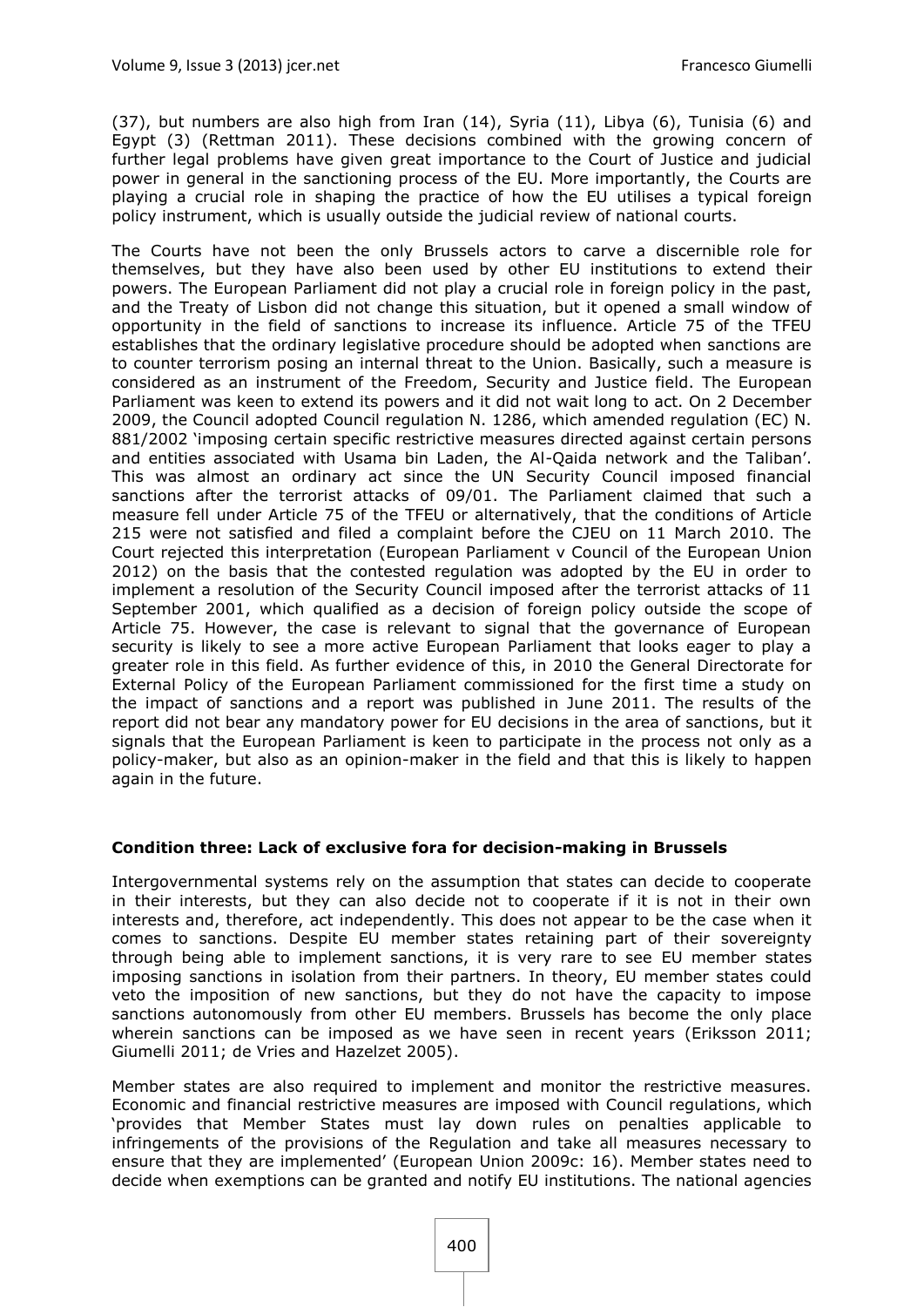(37), but numbers are also high from Iran (14), Syria (11), Libya (6), Tunisia (6) and Egypt (3) (Rettman 2011). These decisions combined with the growing concern of further legal problems have given great importance to the Court of Justice and judicial power in general in the sanctioning process of the EU. More importantly, the Courts are playing a crucial role in shaping the practice of how the EU utilises a typical foreign policy instrument, which is usually outside the judicial review of national courts.

The Courts have not been the only Brussels actors to carve a discernible role for themselves, but they have also been used by other EU institutions to extend their powers. The European Parliament did not play a crucial role in foreign policy in the past, and the Treaty of Lisbon did not change this situation, but it opened a small window of opportunity in the field of sanctions to increase its influence. Article 75 of the TFEU establishes that the ordinary legislative procedure should be adopted when sanctions are to counter terrorism posing an internal threat to the Union. Basically, such a measure is considered as an instrument of the Freedom, Security and Justice field. The European Parliament was keen to extend its powers and it did not wait long to act. On 2 December 2009, the Council adopted Council regulation N. 1286, which amended regulation (EC) N. 881/2002 'imposing certain specific restrictive measures directed against certain persons and entities associated with Usama bin Laden, the Al-Qaida network and the Taliban'. This was almost an ordinary act since the UN Security Council imposed financial sanctions after the terrorist attacks of 09/01. The Parliament claimed that such a measure fell under Article 75 of the TFEU or alternatively, that the conditions of Article 215 were not satisfied and filed a complaint before the CJEU on 11 March 2010. The Court rejected this interpretation (European Parliament v Council of the European Union 2012) on the basis that the contested regulation was adopted by the EU in order to implement a resolution of the Security Council imposed after the terrorist attacks of 11 September 2001, which qualified as a decision of foreign policy outside the scope of Article 75. However, the case is relevant to signal that the governance of European security is likely to see a more active European Parliament that looks eager to play a greater role in this field. As further evidence of this, in 2010 the General Directorate for External Policy of the European Parliament commissioned for the first time a study on the impact of sanctions and a report was published in June 2011. The results of the report did not bear any mandatory power for EU decisions in the area of sanctions, but it signals that the European Parliament is keen to participate in the process not only as a policy-maker, but also as an opinion-maker in the field and that this is likely to happen again in the future.

#### **Condition three: Lack of exclusive fora for decision-making in Brussels**

Intergovernmental systems rely on the assumption that states can decide to cooperate in their interests, but they can also decide not to cooperate if it is not in their own interests and, therefore, act independently. This does not appear to be the case when it comes to sanctions. Despite EU member states retaining part of their sovereignty through being able to implement sanctions, it is very rare to see EU member states imposing sanctions in isolation from their partners. In theory, EU member states could veto the imposition of new sanctions, but they do not have the capacity to impose sanctions autonomously from other EU members. Brussels has become the only place wherein sanctions can be imposed as we have seen in recent years (Eriksson 2011; Giumelli 2011; de Vries and Hazelzet 2005).

Member states are also required to implement and monitor the restrictive measures. Economic and financial restrictive measures are imposed with Council regulations, which 'provides that Member States must lay down rules on penalties applicable to infringements of the provisions of the Regulation and take all measures necessary to ensure that they are implemented' (European Union 2009c: 16). Member states need to decide when exemptions can be granted and notify EU institutions. The national agencies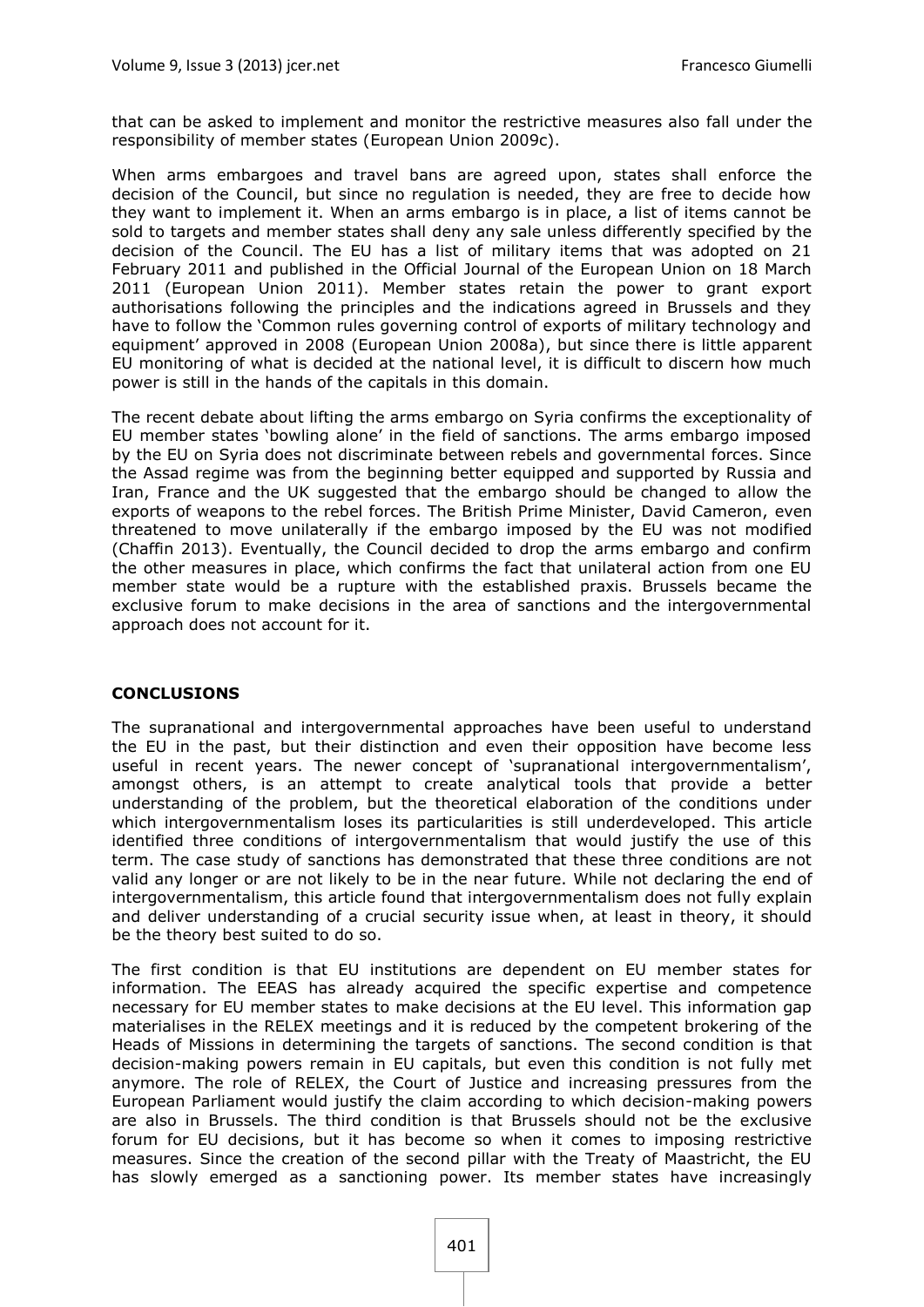that can be asked to implement and monitor the restrictive measures also fall under the responsibility of member states (European Union 2009c).

When arms embargoes and travel bans are agreed upon, states shall enforce the decision of the Council, but since no regulation is needed, they are free to decide how they want to implement it. When an arms embargo is in place, a list of items cannot be sold to targets and member states shall deny any sale unless differently specified by the decision of the Council. The EU has a list of military items that was adopted on 21 February 2011 and published in the Official Journal of the European Union on 18 March 2011 (European Union 2011). Member states retain the power to grant export authorisations following the principles and the indications agreed in Brussels and they have to follow the 'Common rules governing control of exports of military technology and equipment' approved in 2008 (European Union 2008a), but since there is little apparent EU monitoring of what is decided at the national level, it is difficult to discern how much power is still in the hands of the capitals in this domain.

The recent debate about lifting the arms embargo on Syria confirms the exceptionality of EU member states 'bowling alone' in the field of sanctions. The arms embargo imposed by the EU on Syria does not discriminate between rebels and governmental forces. Since the Assad regime was from the beginning better equipped and supported by Russia and Iran, France and the UK suggested that the embargo should be changed to allow the exports of weapons to the rebel forces. The British Prime Minister, David Cameron, even threatened to move unilaterally if the embargo imposed by the EU was not modified (Chaffin 2013). Eventually, the Council decided to drop the arms embargo and confirm the other measures in place, which confirms the fact that unilateral action from one EU member state would be a rupture with the established praxis. Brussels became the exclusive forum to make decisions in the area of sanctions and the intergovernmental approach does not account for it.

#### **CONCLUSIONS**

The supranational and intergovernmental approaches have been useful to understand the EU in the past, but their distinction and even their opposition have become less useful in recent years. The newer concept of 'supranational intergovernmentalism', amongst others, is an attempt to create analytical tools that provide a better understanding of the problem, but the theoretical elaboration of the conditions under which intergovernmentalism loses its particularities is still underdeveloped. This article identified three conditions of intergovernmentalism that would justify the use of this term. The case study of sanctions has demonstrated that these three conditions are not valid any longer or are not likely to be in the near future. While not declaring the end of intergovernmentalism, this article found that intergovernmentalism does not fully explain and deliver understanding of a crucial security issue when, at least in theory, it should be the theory best suited to do so.

The first condition is that EU institutions are dependent on EU member states for information. The EEAS has already acquired the specific expertise and competence necessary for EU member states to make decisions at the EU level. This information gap materialises in the RELEX meetings and it is reduced by the competent brokering of the Heads of Missions in determining the targets of sanctions. The second condition is that decision-making powers remain in EU capitals, but even this condition is not fully met anymore. The role of RELEX, the Court of Justice and increasing pressures from the European Parliament would justify the claim according to which decision-making powers are also in Brussels. The third condition is that Brussels should not be the exclusive forum for EU decisions, but it has become so when it comes to imposing restrictive measures. Since the creation of the second pillar with the Treaty of Maastricht, the EU has slowly emerged as a sanctioning power. Its member states have increasingly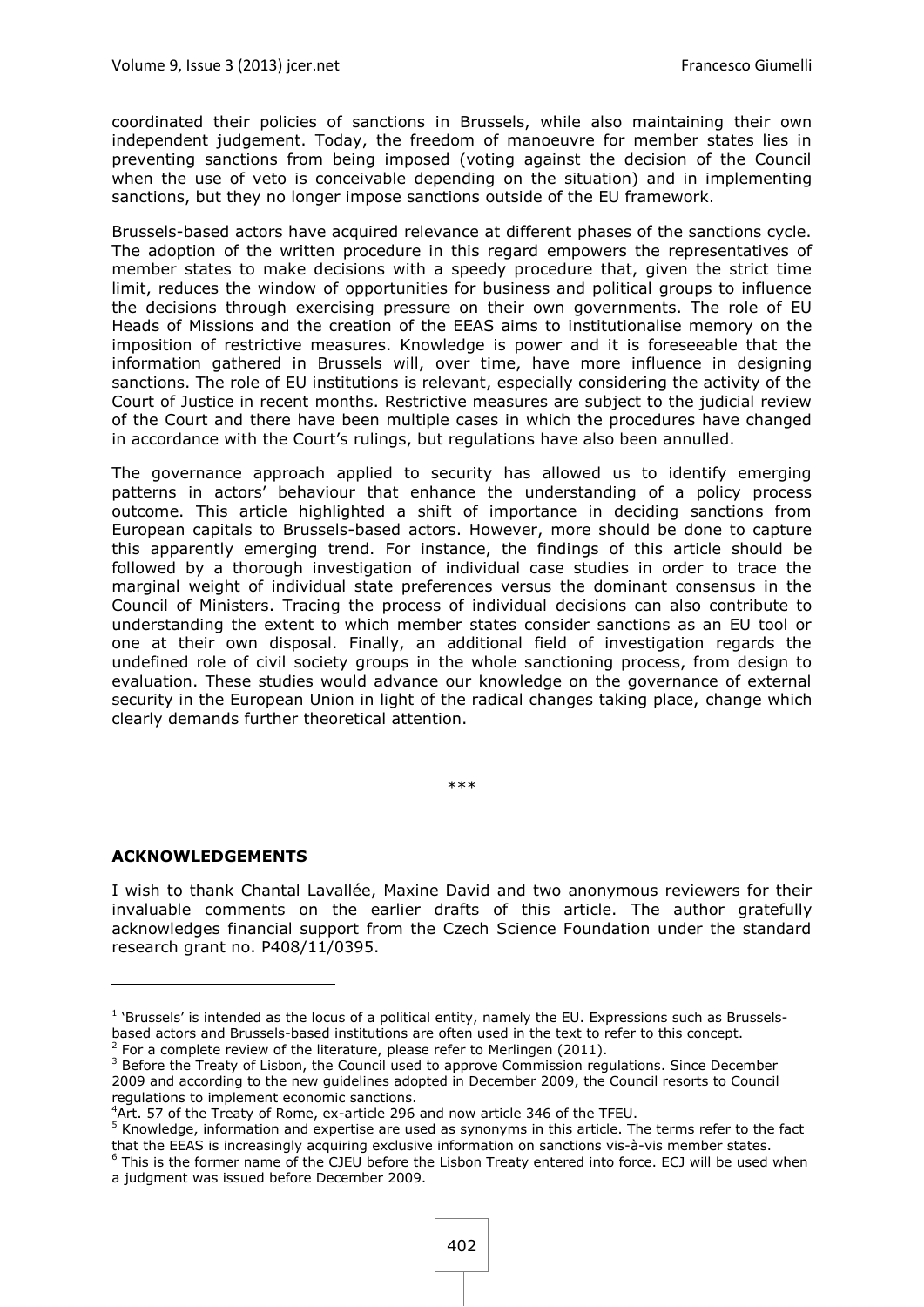coordinated their policies of sanctions in Brussels, while also maintaining their own independent judgement. Today, the freedom of manoeuvre for member states lies in preventing sanctions from being imposed (voting against the decision of the Council when the use of veto is conceivable depending on the situation) and in implementing sanctions, but they no longer impose sanctions outside of the EU framework.

Brussels-based actors have acquired relevance at different phases of the sanctions cycle. The adoption of the written procedure in this regard empowers the representatives of member states to make decisions with a speedy procedure that, given the strict time limit, reduces the window of opportunities for business and political groups to influence the decisions through exercising pressure on their own governments. The role of EU Heads of Missions and the creation of the EEAS aims to institutionalise memory on the imposition of restrictive measures. Knowledge is power and it is foreseeable that the information gathered in Brussels will, over time, have more influence in designing sanctions. The role of EU institutions is relevant, especially considering the activity of the Court of Justice in recent months. Restrictive measures are subject to the judicial review of the Court and there have been multiple cases in which the procedures have changed in accordance with the Court's rulings, but regulations have also been annulled.

The governance approach applied to security has allowed us to identify emerging patterns in actors' behaviour that enhance the understanding of a policy process outcome. This article highlighted a shift of importance in deciding sanctions from European capitals to Brussels-based actors. However, more should be done to capture this apparently emerging trend. For instance, the findings of this article should be followed by a thorough investigation of individual case studies in order to trace the marginal weight of individual state preferences versus the dominant consensus in the Council of Ministers. Tracing the process of individual decisions can also contribute to understanding the extent to which member states consider sanctions as an EU tool or one at their own disposal. Finally, an additional field of investigation regards the undefined role of civil society groups in the whole sanctioning process, from design to evaluation. These studies would advance our knowledge on the governance of external security in the European Union in light of the radical changes taking place, change which clearly demands further theoretical attention.

\*\*\*

#### **ACKNOWLEDGEMENTS**

1

I wish to thank Chantal Lavallée, Maxine David and two anonymous reviewers for their invaluable comments on the earlier drafts of this article. The author gratefully acknowledges financial support from the Czech Science Foundation under the standard research grant no. P408/11/0395.

<sup>&</sup>lt;sup>1</sup> 'Brussels' is intended as the locus of a political entity, namely the EU. Expressions such as Brusselsbased actors and Brussels-based institutions are often used in the text to refer to this concept.  $2$  For a complete review of the literature, please refer to Merlingen (2011).

<sup>&</sup>lt;sup>3</sup> Before the Treaty of Lisbon, the Council used to approve Commission regulations. Since December 2009 and according to the new guidelines adopted in December 2009, the Council resorts to Council regulations to implement economic sanctions.

<sup>&</sup>lt;sup>4</sup>Art. 57 of the Treaty of Rome, ex-article 296 and now article 346 of the TFEU.

<sup>5</sup> Knowledge, information and expertise are used as synonyms in this article. The terms refer to the fact that the EEAS is increasingly acquiring exclusive information on sanctions vis-à-vis member states.

<sup>&</sup>lt;sup>6</sup> This is the former name of the CJEU before the Lisbon Treaty entered into force. ECJ will be used when a judgment was issued before December 2009.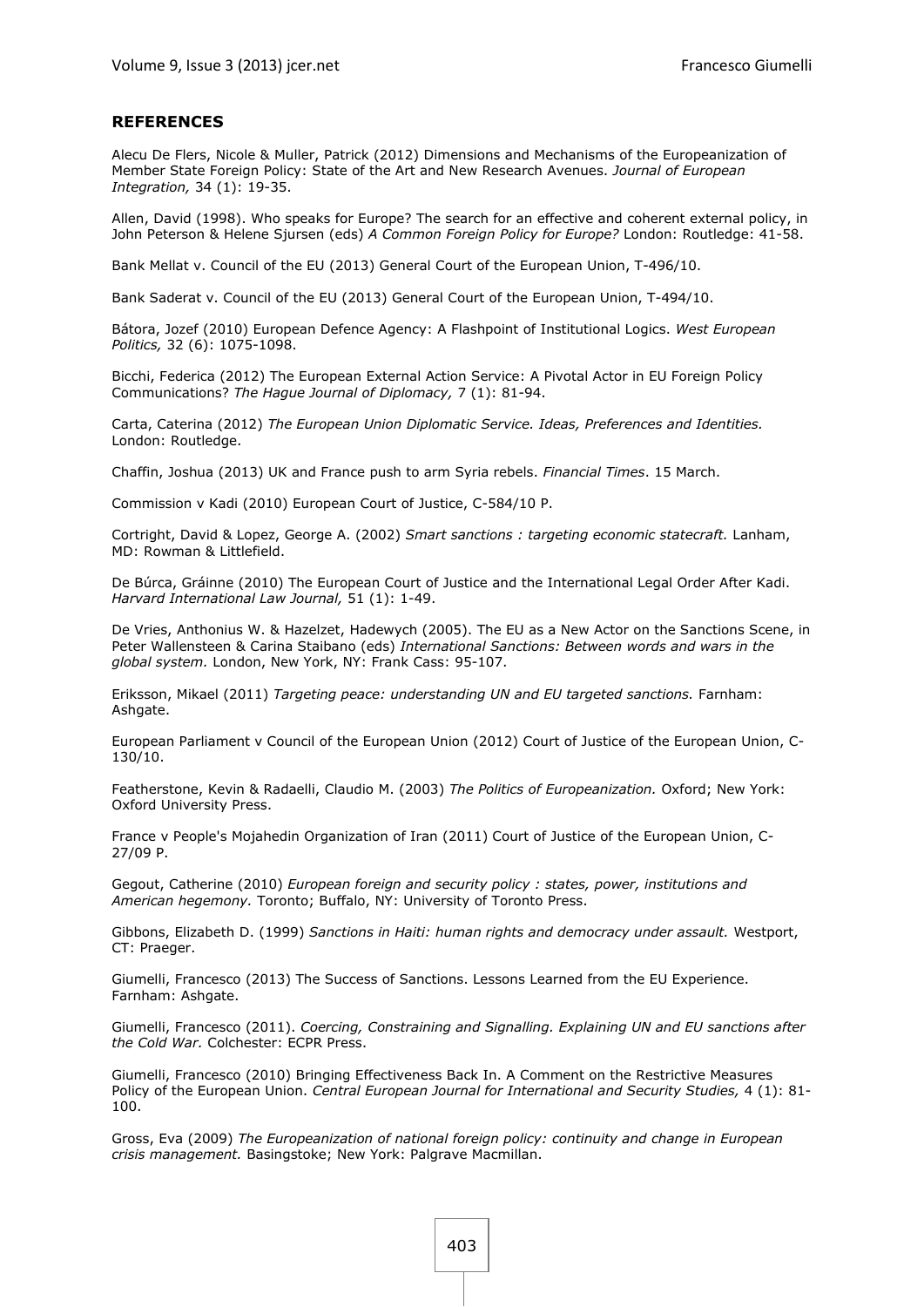#### **REFERENCES**

Alecu De Flers, Nicole & Muller, Patrick (2012) Dimensions and Mechanisms of the Europeanization of Member State Foreign Policy: State of the Art and New Research Avenues. *Journal of European Integration,* 34 (1): 19-35.

Allen, David (1998). Who speaks for Europe? The search for an effective and coherent external policy, in John Peterson & Helene Sjursen (eds) *A Common Foreign Policy for Europe?* London: Routledge: 41-58.

Bank Mellat v. Council of the EU (2013) General Court of the European Union, T-496/10.

Bank Saderat v. Council of the EU (2013) General Court of the European Union, T-494/10.

Bátora, Jozef (2010) European Defence Agency: A Flashpoint of Institutional Logics. *West European Politics,* 32 (6): 1075-1098.

Bicchi, Federica (2012) The European External Action Service: A Pivotal Actor in EU Foreign Policy Communications? *The Hague Journal of Diplomacy,* 7 (1): 81-94.

Carta, Caterina (2012) *The European Union Diplomatic Service. Ideas, Preferences and Identities.*  London: Routledge.

Chaffin, Joshua (2013) UK and France push to arm Syria rebels. *Financial Times*. 15 March.

Commission v Kadi (2010) European Court of Justice, C-584/10 P.

Cortright, David & Lopez, George A. (2002) *Smart sanctions : targeting economic statecraft.* Lanham, MD: Rowman & Littlefield.

De Búrca, Gráinne (2010) The European Court of Justice and the International Legal Order After Kadi. *Harvard International Law Journal,* 51 (1): 1-49.

De Vries, Anthonius W. & Hazelzet, Hadewych (2005). The EU as a New Actor on the Sanctions Scene, in Peter Wallensteen & Carina Staibano (eds) *International Sanctions: Between words and wars in the global system.* London, New York, NY: Frank Cass: 95-107.

Eriksson, Mikael (2011) *Targeting peace: understanding UN and EU targeted sanctions.* Farnham: Ashgate.

European Parliament v Council of the European Union (2012) Court of Justice of the European Union, C-130/10.

Featherstone, Kevin & Radaelli, Claudio M. (2003) *The Politics of Europeanization.* Oxford; New York: Oxford University Press.

France v People's Mojahedin Organization of Iran (2011) Court of Justice of the European Union, C-27/09 P.

Gegout, Catherine (2010) *European foreign and security policy : states, power, institutions and American hegemony.* Toronto; Buffalo, NY: University of Toronto Press.

Gibbons, Elizabeth D. (1999) *Sanctions in Haiti: human rights and democracy under assault.* Westport, CT: Praeger.

Giumelli, Francesco (2013) The Success of Sanctions. Lessons Learned from the EU Experience. Farnham: Ashgate.

Giumelli, Francesco (2011). *Coercing, Constraining and Signalling. Explaining UN and EU sanctions after the Cold War.* Colchester: ECPR Press.

Giumelli, Francesco (2010) Bringing Effectiveness Back In. A Comment on the Restrictive Measures Policy of the European Union. *Central European Journal for International and Security Studies,* 4 (1): 81- 100.

Gross, Eva (2009) *The Europeanization of national foreign policy: continuity and change in European crisis management.* Basingstoke; New York: Palgrave Macmillan.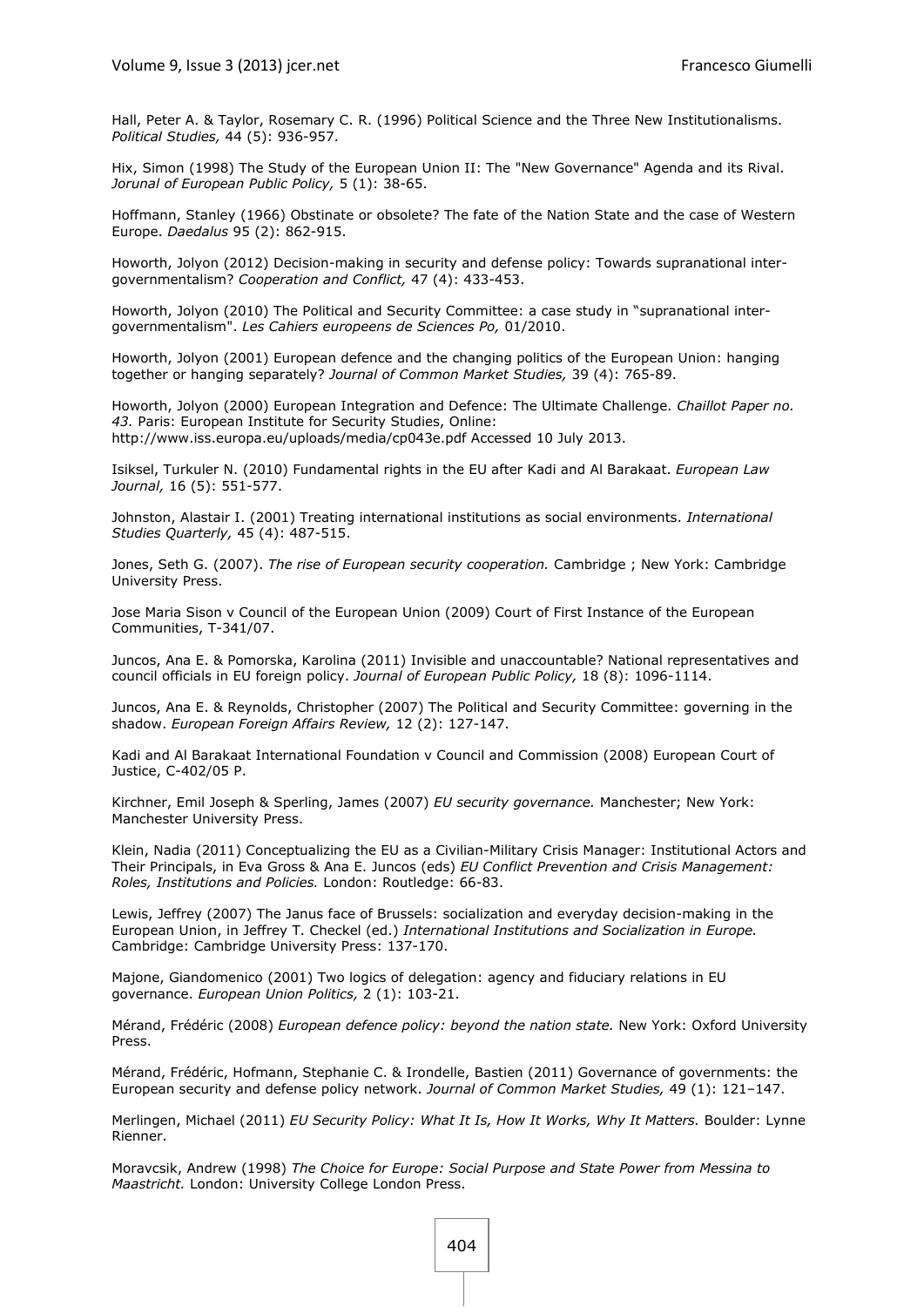Hall, Peter A. & Taylor, Rosemary C. R. (1996) Political Science and the Three New Institutionalisms. *Political Studies,* 44 (5): 936-957.

Hix, Simon (1998) The Study of the European Union II: The "New Governance" Agenda and its Rival. *Jorunal of European Public Policy,* 5 (1): 38-65.

Hoffmann, Stanley (1966) Obstinate or obsolete? The fate of the Nation State and the case of Western Europe. *Daedalus* 95 (2): 862-915.

Howorth, Jolyon (2012) Decision-making in security and defense policy: Towards supranational intergovernmentalism? *Cooperation and Conflict,* 47 (4): 433-453.

Howorth, Jolyon (2010) The Political and Security Committee: a case study in "supranational intergovernmentalism". *Les Cahiers europeens de Sciences Po,* 01/2010.

Howorth, Jolyon (2001) European defence and the changing politics of the European Union: hanging together or hanging separately? *Journal of Common Market Studies,* 39 (4): 765-89.

Howorth, Jolyon (2000) European Integration and Defence: The Ultimate Challenge. *Chaillot Paper no. 43.* Paris: European Institute for Security Studies, Online: <http://www.iss.europa.eu/uploads/media/cp043e.pdf> Accessed 10 July 2013.

Isiksel, Turkuler N. (2010) Fundamental rights in the EU after Kadi and Al Barakaat. *European Law Journal,* 16 (5): 551-577.

Johnston, Alastair I. (2001) Treating international institutions as social environments. *International Studies Quarterly,* 45 (4): 487-515.

Jones, Seth G. (2007). *The rise of European security cooperation.* Cambridge ; New York: Cambridge University Press.

Jose Maria Sison v Council of the European Union (2009) Court of First Instance of the European Communities, T-341/07.

Juncos, Ana E. & Pomorska, Karolina (2011) Invisible and unaccountable? National representatives and council officials in EU foreign policy. *Journal of European Public Policy,* 18 (8): 1096-1114.

Juncos, Ana E. & Reynolds, Christopher (2007) The Political and Security Committee: governing in the shadow. *European Foreign Affairs Review,* 12 (2): 127-147.

Kadi and Al Barakaat International Foundation v Council and Commission (2008) European Court of Justice, C-402/05 P.

Kirchner, Emil Joseph & Sperling, James (2007) *EU security governance.* Manchester; New York: Manchester University Press.

Klein, Nadia (2011) Conceptualizing the EU as a Civilian-Military Crisis Manager: Institutional Actors and Their Principals, in Eva Gross & Ana E. Juncos (eds) *EU Conflict Prevention and Crisis Management: Roles, Institutions and Policies.* London: Routledge: 66-83.

Lewis, Jeffrey (2007) The Janus face of Brussels: socialization and everyday decision-making in the European Union, in Jeffrey T. Checkel (ed.) *International Institutions and Socialization in Europe.* Cambridge: Cambridge University Press: 137-170.

Majone, Giandomenico (2001) Two logics of delegation: agency and fiduciary relations in EU governance. *European Union Politics,* 2 (1): 103-21.

Mérand, Frédéric (2008) *European defence policy: beyond the nation state.* New York: Oxford University Press.

Mérand, Frédéric, Hofmann, Stephanie C. & Irondelle, Bastien (2011) Governance of governments: the European security and defense policy network. *Journal of Common Market Studies,* 49 (1): 121–147.

Merlingen, Michael (2011) *EU Security Policy: What It Is, How It Works, Why It Matters. Boulder: Lynne* Rienner.

Moravcsik, Andrew (1998) *The Choice for Europe: Social Purpose and State Power from Messina to Maastricht.* London: University College London Press.